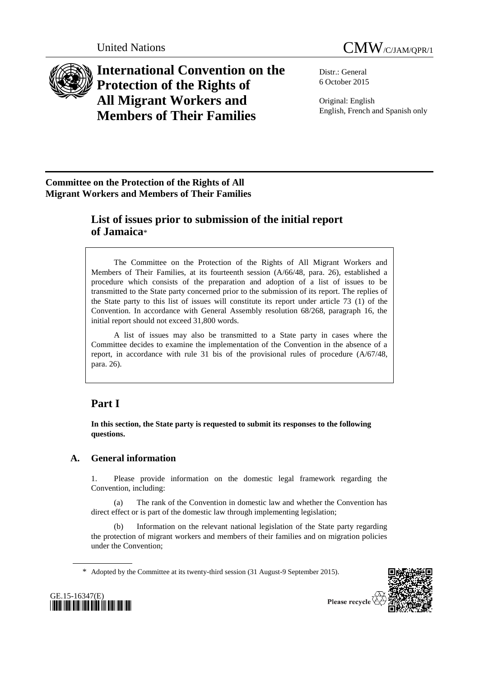



**International Convention on the Protection of the Rights of All Migrant Workers and Members of Their Families**

Distr.: General 6 October 2015

Original: English English, French and Spanish only

# **Committee on the Protection of the Rights of All Migrant Workers and Members of Their Families**

# **List of issues prior to submission of the initial report of Jamaica**\*

The Committee on the Protection of the Rights of All Migrant Workers and Members of Their Families, at its fourteenth session (A/66/48, para. 26), established a procedure which consists of the preparation and adoption of a list of issues to be transmitted to the State party concerned prior to the submission of its report. The replies of the State party to this list of issues will constitute its report under article 73 (1) of the Convention. In accordance with General Assembly resolution 68/268, paragraph 16, the initial report should not exceed 31,800 words.

A list of issues may also be transmitted to a State party in cases where the Committee decides to examine the implementation of the Convention in the absence of a report, in accordance with rule 31 bis of the provisional rules of procedure (A/67/48, para. 26).

# **Part I**

**In this section, the State party is requested to submit its responses to the following questions.** 

# **A. General information**

1. Please provide information on the domestic legal framework regarding the Convention, including:

(a) The rank of the Convention in domestic law and whether the Convention has direct effect or is part of the domestic law through implementing legislation;

(b) Information on the relevant national legislation of the State party regarding the protection of migrant workers and members of their families and on migration policies under the Convention;

\* Adopted by the Committee at its twenty-third session (31 August-9 September 2015).



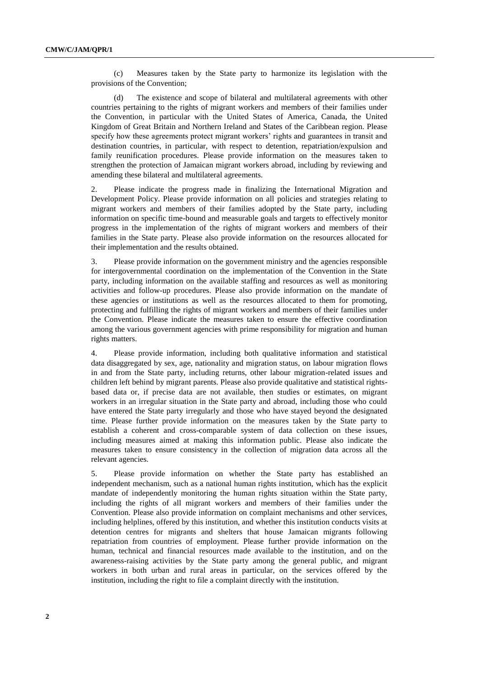(c) Measures taken by the State party to harmonize its legislation with the provisions of the Convention;

(d) The existence and scope of bilateral and multilateral agreements with other countries pertaining to the rights of migrant workers and members of their families under the Convention, in particular with the United States of America, Canada, the United Kingdom of Great Britain and Northern Ireland and States of the Caribbean region. Please specify how these agreements protect migrant workers' rights and guarantees in transit and destination countries, in particular, with respect to detention, repatriation/expulsion and family reunification procedures. Please provide information on the measures taken to strengthen the protection of Jamaican migrant workers abroad, including by reviewing and amending these bilateral and multilateral agreements.

2. Please indicate the progress made in finalizing the International Migration and Development Policy. Please provide information on all policies and strategies relating to migrant workers and members of their families adopted by the State party, including information on specific time-bound and measurable goals and targets to effectively monitor progress in the implementation of the rights of migrant workers and members of their families in the State party. Please also provide information on the resources allocated for their implementation and the results obtained.

3. Please provide information on the government ministry and the agencies responsible for intergovernmental coordination on the implementation of the Convention in the State party, including information on the available staffing and resources as well as monitoring activities and follow-up procedures. Please also provide information on the mandate of these agencies or institutions as well as the resources allocated to them for promoting, protecting and fulfilling the rights of migrant workers and members of their families under the Convention. Please indicate the measures taken to ensure the effective coordination among the various government agencies with prime responsibility for migration and human rights matters.

4. Please provide information, including both qualitative information and statistical data disaggregated by sex, age, nationality and migration status, on labour migration flows in and from the State party, including returns, other labour migration-related issues and children left behind by migrant parents. Please also provide qualitative and statistical rightsbased data or, if precise data are not available, then studies or estimates, on migrant workers in an irregular situation in the State party and abroad, including those who could have entered the State party irregularly and those who have stayed beyond the designated time. Please further provide information on the measures taken by the State party to establish a coherent and cross-comparable system of data collection on these issues, including measures aimed at making this information public. Please also indicate the measures taken to ensure consistency in the collection of migration data across all the relevant agencies.

5. Please provide information on whether the State party has established an independent mechanism, such as a national human rights institution, which has the explicit mandate of independently monitoring the human rights situation within the State party, including the rights of all migrant workers and members of their families under the Convention. Please also provide information on complaint mechanisms and other services, including helplines, offered by this institution, and whether this institution conducts visits at detention centres for migrants and shelters that house Jamaican migrants following repatriation from countries of employment. Please further provide information on the human, technical and financial resources made available to the institution, and on the awareness-raising activities by the State party among the general public, and migrant workers in both urban and rural areas in particular, on the services offered by the institution, including the right to file a complaint directly with the institution.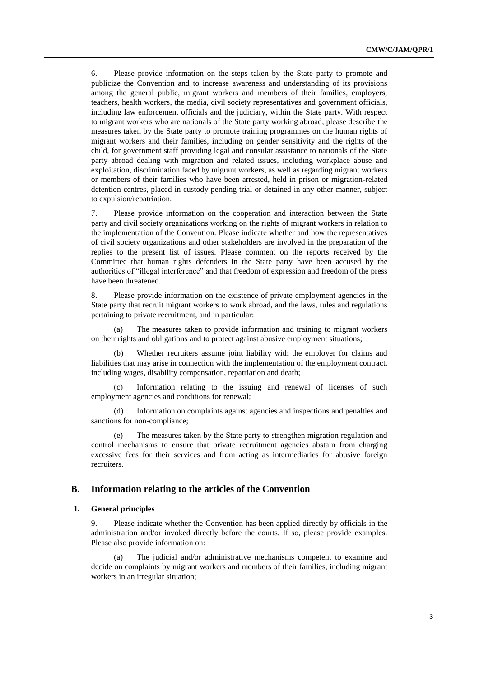6. Please provide information on the steps taken by the State party to promote and publicize the Convention and to increase awareness and understanding of its provisions among the general public, migrant workers and members of their families, employers, teachers, health workers, the media, civil society representatives and government officials, including law enforcement officials and the judiciary, within the State party. With respect to migrant workers who are nationals of the State party working abroad, please describe the measures taken by the State party to promote training programmes on the human rights of migrant workers and their families, including on gender sensitivity and the rights of the child, for government staff providing legal and consular assistance to nationals of the State party abroad dealing with migration and related issues, including workplace abuse and exploitation, discrimination faced by migrant workers, as well as regarding migrant workers or members of their families who have been arrested, held in prison or migration-related detention centres, placed in custody pending trial or detained in any other manner, subject to expulsion/repatriation.

7. Please provide information on the cooperation and interaction between the State party and civil society organizations working on the rights of migrant workers in relation to the implementation of the Convention. Please indicate whether and how the representatives of civil society organizations and other stakeholders are involved in the preparation of the replies to the present list of issues. Please comment on the reports received by the Committee that human rights defenders in the State party have been accused by the authorities of "illegal interference" and that freedom of expression and freedom of the press have been threatened.

8. Please provide information on the existence of private employment agencies in the State party that recruit migrant workers to work abroad, and the laws, rules and regulations pertaining to private recruitment, and in particular:

(a) The measures taken to provide information and training to migrant workers on their rights and obligations and to protect against abusive employment situations;

(b) Whether recruiters assume joint liability with the employer for claims and liabilities that may arise in connection with the implementation of the employment contract, including wages, disability compensation, repatriation and death;

(c) Information relating to the issuing and renewal of licenses of such employment agencies and conditions for renewal;

(d) Information on complaints against agencies and inspections and penalties and sanctions for non-compliance;

(e) The measures taken by the State party to strengthen migration regulation and control mechanisms to ensure that private recruitment agencies abstain from charging excessive fees for their services and from acting as intermediaries for abusive foreign recruiters.

# **B. Information relating to the articles of the Convention**

#### **1. General principles**

9. Please indicate whether the Convention has been applied directly by officials in the administration and/or invoked directly before the courts. If so, please provide examples. Please also provide information on:

The judicial and/or administrative mechanisms competent to examine and decide on complaints by migrant workers and members of their families, including migrant workers in an irregular situation;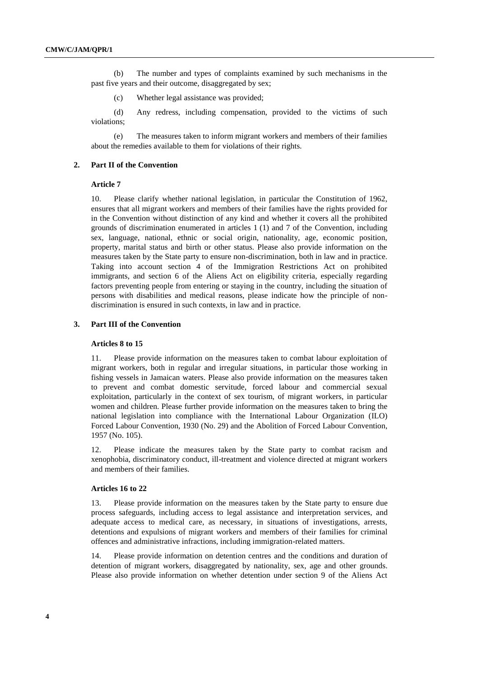(b) The number and types of complaints examined by such mechanisms in the past five years and their outcome, disaggregated by sex;

(c) Whether legal assistance was provided;

(d) Any redress, including compensation, provided to the victims of such violations;

(e) The measures taken to inform migrant workers and members of their families about the remedies available to them for violations of their rights.

### **2. Part II of the Convention**

#### **Article 7**

10. Please clarify whether national legislation, in particular the Constitution of 1962, ensures that all migrant workers and members of their families have the rights provided for in the Convention without distinction of any kind and whether it covers all the prohibited grounds of discrimination enumerated in articles 1 (1) and 7 of the Convention, including sex, language, national, ethnic or social origin, nationality, age, economic position, property, marital status and birth or other status. Please also provide information on the measures taken by the State party to ensure non-discrimination, both in law and in practice. Taking into account section 4 of the Immigration Restrictions Act on prohibited immigrants, and section 6 of the Aliens Act on eligibility criteria, especially regarding factors preventing people from entering or staying in the country, including the situation of persons with disabilities and medical reasons, please indicate how the principle of nondiscrimination is ensured in such contexts, in law and in practice.

#### **3. Part III of the Convention**

#### **Articles 8 to 15**

11. Please provide information on the measures taken to combat labour exploitation of migrant workers, both in regular and irregular situations, in particular those working in fishing vessels in Jamaican waters. Please also provide information on the measures taken to prevent and combat domestic servitude, forced labour and commercial sexual exploitation, particularly in the context of sex tourism, of migrant workers, in particular women and children. Please further provide information on the measures taken to bring the national legislation into compliance with the International Labour Organization (ILO) Forced Labour Convention, 1930 (No. 29) and the Abolition of Forced Labour Convention, 1957 (No. 105).

12. Please indicate the measures taken by the State party to combat racism and xenophobia, discriminatory conduct, ill-treatment and violence directed at migrant workers and members of their families.

#### **Articles 16 to 22**

Please provide information on the measures taken by the State party to ensure due process safeguards, including access to legal assistance and interpretation services, and adequate access to medical care, as necessary, in situations of investigations, arrests, detentions and expulsions of migrant workers and members of their families for criminal offences and administrative infractions, including immigration-related matters.

14. Please provide information on detention centres and the conditions and duration of detention of migrant workers, disaggregated by nationality, sex, age and other grounds. Please also provide information on whether detention under section 9 of the Aliens Act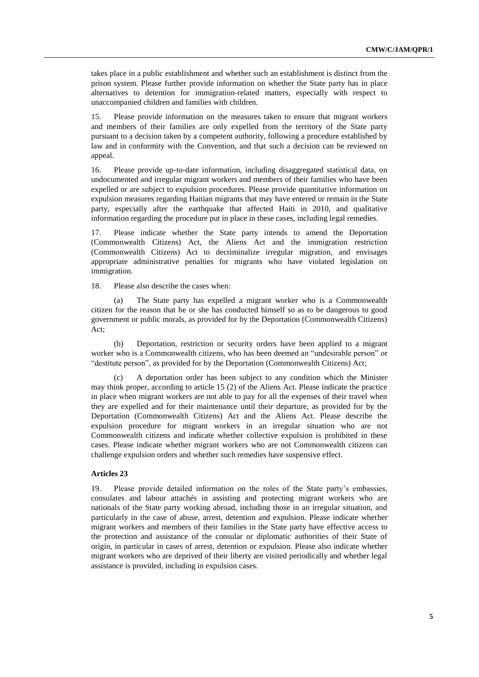takes place in a public establishment and whether such an establishment is distinct from the prison system. Please further provide information on whether the State party has in place alternatives to detention for immigration-related matters, especially with respect to unaccompanied children and families with children.

15. Please provide information on the measures taken to ensure that migrant workers and members of their families are only expelled from the territory of the State party pursuant to a decision taken by a competent authority, following a procedure established by law and in conformity with the Convention, and that such a decision can be reviewed on appeal.

16. Please provide up-to-date information, including disaggregated statistical data, on undocumented and irregular migrant workers and members of their families who have been expelled or are subject to expulsion procedures. Please provide quantitative information on expulsion measures regarding Haitian migrants that may have entered or remain in the State party, especially after the earthquake that affected Haiti in 2010, and qualitative information regarding the procedure put in place in these cases, including legal remedies.

17. Please indicate whether the State party intends to amend the Deportation (Commonwealth Citizens) Act, the Aliens Act and the immigration restriction (Commonwealth Citizens) Act to decriminalize irregular migration, and envisages appropriate administrative penalties for migrants who have violated legislation on immigration.

18. Please also describe the cases when:

(a) The State party has expelled a migrant worker who is a Commonwealth citizen for the reason that he or she has conducted himself so as to be dangerous to good government or public morals, as provided for by the Deportation (Commonwealth Citizens) Act;

(b) Deportation, restriction or security orders have been applied to a migrant worker who is a Commonwealth citizens, who has been deemed an "undesirable person" or "destitute person", as provided for by the Deportation (Commonwealth Citizens) Act;

A deportation order has been subject to any condition which the Minister may think proper, according to article 15 (2) of the Aliens Act. Please indicate the practice in place when migrant workers are not able to pay for all the expenses of their travel when they are expelled and for their maintenance until their departure, as provided for by the Deportation (Commonwealth Citizens) Act and the Aliens Act. Please describe the expulsion procedure for migrant workers in an irregular situation who are not Commonwealth citizens and indicate whether collective expulsion is prohibited in these cases. Please indicate whether migrant workers who are not Commonwealth citizens can challenge expulsion orders and whether such remedies have suspensive effect.

### **Articles 23**

19. Please provide detailed information on the roles of the State party's embassies, consulates and labour attachés in assisting and protecting migrant workers who are nationals of the State party working abroad, including those in an irregular situation, and particularly in the case of abuse, arrest, detention and expulsion. Please indicate whether migrant workers and members of their families in the State party have effective access to the protection and assistance of the consular or diplomatic authorities of their State of origin, in particular in cases of arrest, detention or expulsion. Please also indicate whether migrant workers who are deprived of their liberty are visited periodically and whether legal assistance is provided, including in expulsion cases.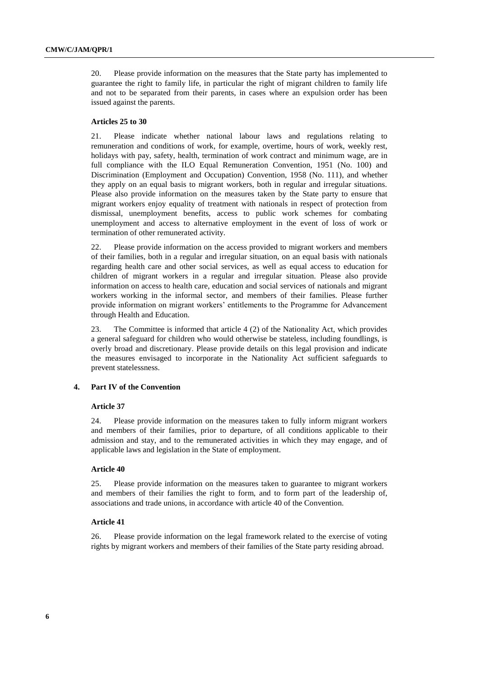20. Please provide information on the measures that the State party has implemented to guarantee the right to family life, in particular the right of migrant children to family life and not to be separated from their parents, in cases where an expulsion order has been issued against the parents.

#### **Articles 25 to 30**

21. Please indicate whether national labour laws and regulations relating to remuneration and conditions of work, for example, overtime, hours of work, weekly rest, holidays with pay, safety, health, termination of work contract and minimum wage, are in full compliance with the ILO Equal Remuneration Convention, 1951 (No. 100) and Discrimination (Employment and Occupation) Convention, 1958 (No. 111), and whether they apply on an equal basis to migrant workers, both in regular and irregular situations. Please also provide information on the measures taken by the State party to ensure that migrant workers enjoy equality of treatment with nationals in respect of protection from dismissal, unemployment benefits, access to public work schemes for combating unemployment and access to alternative employment in the event of loss of work or termination of other remunerated activity.

22. Please provide information on the access provided to migrant workers and members of their families, both in a regular and irregular situation, on an equal basis with nationals regarding health care and other social services, as well as equal access to education for children of migrant workers in a regular and irregular situation. Please also provide information on access to health care, education and social services of nationals and migrant workers working in the informal sector, and members of their families. Please further provide information on migrant workers' entitlements to the Programme for Advancement through Health and Education.

23. The Committee is informed that article 4 (2) of the Nationality Act, which provides a general safeguard for children who would otherwise be stateless, including foundlings, is overly broad and discretionary. Please provide details on this legal provision and indicate the measures envisaged to incorporate in the Nationality Act sufficient safeguards to prevent statelessness.

## **4. Part IV of the Convention**

#### **Article 37**

24. Please provide information on the measures taken to fully inform migrant workers and members of their families, prior to departure, of all conditions applicable to their admission and stay, and to the remunerated activities in which they may engage, and of applicable laws and legislation in the State of employment.

#### **Article 40**

25. Please provide information on the measures taken to guarantee to migrant workers and members of their families the right to form, and to form part of the leadership of, associations and trade unions, in accordance with article 40 of the Convention.

#### **Article 41**

26. Please provide information on the legal framework related to the exercise of voting rights by migrant workers and members of their families of the State party residing abroad.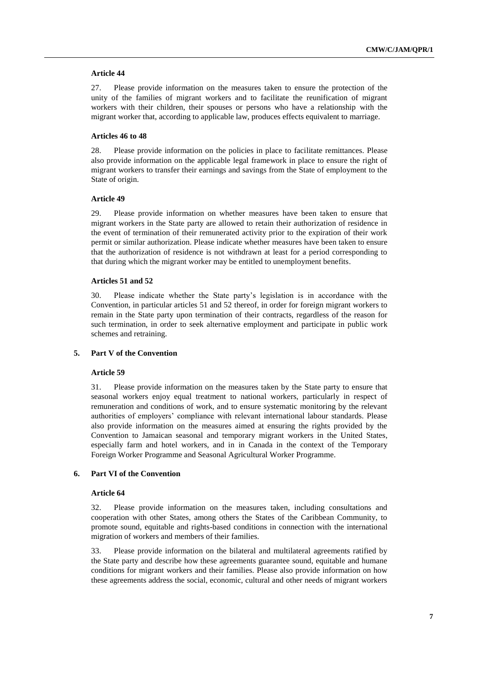#### **Article 44**

27. Please provide information on the measures taken to ensure the protection of the unity of the families of migrant workers and to facilitate the reunification of migrant workers with their children, their spouses or persons who have a relationship with the migrant worker that, according to applicable law, produces effects equivalent to marriage.

### **Articles 46 to 48**

28. Please provide information on the policies in place to facilitate remittances. Please also provide information on the applicable legal framework in place to ensure the right of migrant workers to transfer their earnings and savings from the State of employment to the State of origin.

### **Article 49**

29. Please provide information on whether measures have been taken to ensure that migrant workers in the State party are allowed to retain their authorization of residence in the event of termination of their remunerated activity prior to the expiration of their work permit or similar authorization. Please indicate whether measures have been taken to ensure that the authorization of residence is not withdrawn at least for a period corresponding to that during which the migrant worker may be entitled to unemployment benefits.

#### **Articles 51 and 52**

30. Please indicate whether the State party's legislation is in accordance with the Convention, in particular articles 51 and 52 thereof, in order for foreign migrant workers to remain in the State party upon termination of their contracts, regardless of the reason for such termination, in order to seek alternative employment and participate in public work schemes and retraining.

### **5. Part V of the Convention**

#### **Article 59**

31. Please provide information on the measures taken by the State party to ensure that seasonal workers enjoy equal treatment to national workers, particularly in respect of remuneration and conditions of work, and to ensure systematic monitoring by the relevant authorities of employers' compliance with relevant international labour standards. Please also provide information on the measures aimed at ensuring the rights provided by the Convention to Jamaican seasonal and temporary migrant workers in the United States, especially farm and hotel workers, and in in Canada in the context of the Temporary Foreign Worker Programme and Seasonal Agricultural Worker Programme.

### **6. Part VI of the Convention**

#### **Article 64**

32. Please provide information on the measures taken, including consultations and cooperation with other States, among others the States of the Caribbean Community, to promote sound, equitable and rights-based conditions in connection with the international migration of workers and members of their families.

33. Please provide information on the bilateral and multilateral agreements ratified by the State party and describe how these agreements guarantee sound, equitable and humane conditions for migrant workers and their families. Please also provide information on how these agreements address the social, economic, cultural and other needs of migrant workers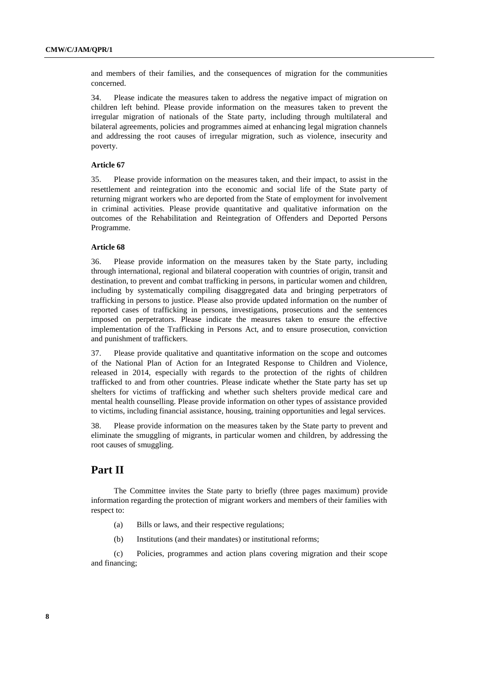and members of their families, and the consequences of migration for the communities concerned.

34. Please indicate the measures taken to address the negative impact of migration on children left behind. Please provide information on the measures taken to prevent the irregular migration of nationals of the State party, including through multilateral and bilateral agreements, policies and programmes aimed at enhancing legal migration channels and addressing the root causes of irregular migration, such as violence, insecurity and poverty.

#### **Article 67**

35. Please provide information on the measures taken, and their impact, to assist in the resettlement and reintegration into the economic and social life of the State party of returning migrant workers who are deported from the State of employment for involvement in criminal activities. Please provide quantitative and qualitative information on the outcomes of the Rehabilitation and Reintegration of Offenders and Deported Persons Programme.

### **Article 68**

36. Please provide information on the measures taken by the State party, including through international, regional and bilateral cooperation with countries of origin, transit and destination, to prevent and combat trafficking in persons, in particular women and children, including by systematically compiling disaggregated data and bringing perpetrators of trafficking in persons to justice. Please also provide updated information on the number of reported cases of trafficking in persons, investigations, prosecutions and the sentences imposed on perpetrators. Please indicate the measures taken to ensure the effective implementation of the Trafficking in Persons Act, and to ensure prosecution, conviction and punishment of traffickers.

37. Please provide qualitative and quantitative information on the scope and outcomes of the National Plan of Action for an Integrated Response to Children and Violence, released in 2014, especially with regards to the protection of the rights of children trafficked to and from other countries. Please indicate whether the State party has set up shelters for victims of trafficking and whether such shelters provide medical care and mental health counselling. Please provide information on other types of assistance provided to victims, including financial assistance, housing, training opportunities and legal services.

38. Please provide information on the measures taken by the State party to prevent and eliminate the smuggling of migrants, in particular women and children, by addressing the root causes of smuggling.

# **Part II**

The Committee invites the State party to briefly (three pages maximum) provide information regarding the protection of migrant workers and members of their families with respect to:

- (a) Bills or laws, and their respective regulations;
- (b) Institutions (and their mandates) or institutional reforms;

(c) Policies, programmes and action plans covering migration and their scope and financing;